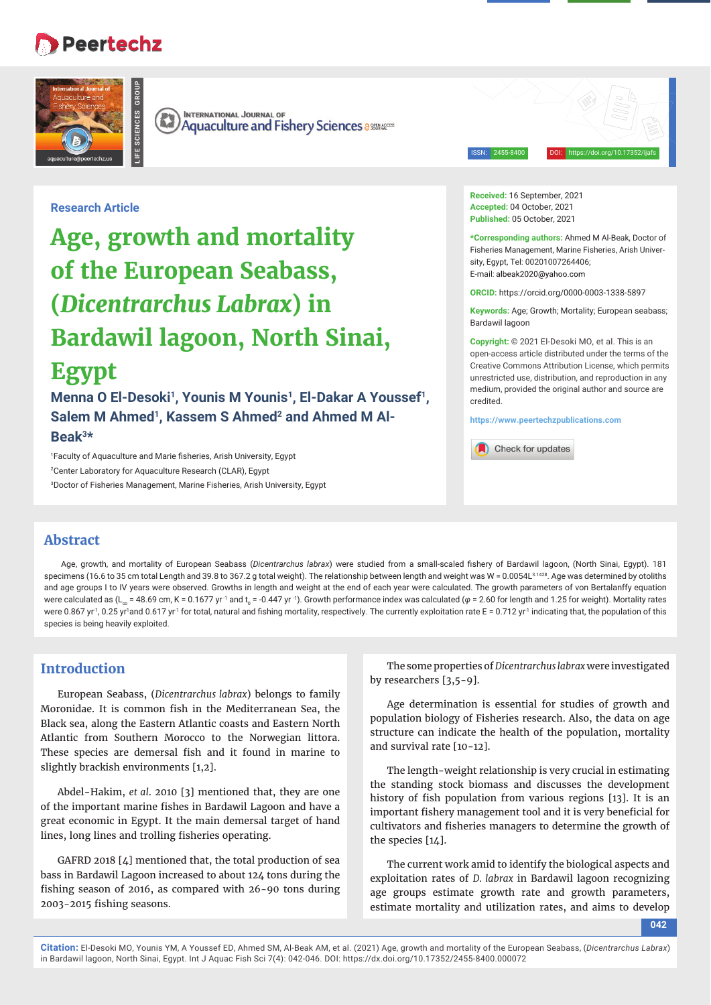# **Peertechz**

**LIFE SCIENCES GROUP**



**INTERNATIONAL JOURNAL OF**  $\left(\mathbb{R}\right)$ **Aquaculture and Fishery Sciences assessed Aquaculture and Fishery Sciences** 

ISSN: 2455-8400 DOI: https://doi.org/10.17352/ijafs

**Research Article**

# **Age, growth and mortality of the European Seabass, (***Dicentrarchus Labrax***) in Bardawil lagoon, North Sinai, Egypt**

Menna O El-Desoki<sup>1</sup>, Younis M Younis<sup>1</sup>, El-Dakar A Youssef<sup>1</sup>, Salem M Ahmed<sup>1</sup>, Kassem S Ahmed<sup>2</sup> and Ahmed M Al-**Beak3\***

<sup>1</sup>Faculty of Aquaculture and Marie fisheries, Arish University, Egypt 2 Center Laboratory for Aquaculture Research (CLAR), Egypt 3 Doctor of Fisheries Management, Marine Fisheries, Arish University, Egypt **Received:** 16 September, 2021 **Accepted:** 04 October, 2021 **Published:** 05 October, 2021

**\*Corresponding authors:** Ahmed M Al-Beak, Doctor of Fisheries Management, Marine Fisheries, Arish University, Egypt, Tel: 00201007264406; E-mail: albeak2020@yahoo.com

**ORCID:** https://orcid.org/0000-0003-1338-5897

**Keywords:** Age; Growth; Mortality; European seabass; Bardawil lagoon

**Copyright:** © 2021 El-Desoki MO, et al. This is an open-access article distributed under the terms of the Creative Commons Attribution License, which permits unrestricted use, distribution, and reproduction in any medium, provided the original author and source are credited.

**https://www.peertechzpublications.com**

Check for updates

## **Abstract**

Age, growth, and mortality of European Seabass (Dicentrarchus labrax) were studied from a small-scaled fishery of Bardawil lagoon, (North Sinai, Egypt). 181 specimens (16.6 to 35 cm total Length and 39.8 to 367.2 g total weight). The relationship between length and weight was W = 0.0054L31428. Age was determined by otoliths and age groups I to IV years were observed. Growths in length and weight at the end of each year were calculated. The growth parameters of yon Bertalanffy equation were calculated as (L<sub>∞</sub> = 48.69 cm, K = 0.1677 yr <sup>-1</sup> and t<sub>o</sub> = -0.447 yr <sup>-</sup>1). Growth performance index was calculated ( $\varphi$  = 2.60 for length and 1.25 for weight). Mortality rates were 0.867 yr<sup>1</sup>, 0.25 yr<sup>1</sup>and 0.617 yr<sup>1</sup> for total, natural and fishing mortality, respectively. The currently exploitation rate E = 0.712 yr<sup>1</sup> indicating that, the population of this species is being heavily exploited.

## **Introduction**

European Seabass, (*Dicentrarchus labrax*) belongs to family Moronidae. It is common fish in the Mediterranean Sea, the Black sea, along the Eastern Atlantic coasts and Eastern North Atlantic from Southern Morocco to the Norwegian littora. These species are demersal fish and it found in marine to slightly brackish environments [1,2].

Abdel-Hakim, *et al*. 2010 [3] mentioned that, they are one of the important marine fishes in Bardawil Lagoon and have a great economic in Egypt. It the main demersal target of hand lines, long lines and trolling fisheries operating.

GAFRD 2018 [4] mentioned that, the total production of sea bass in Bardawil Lagoon increased to about 124 tons during the fishing season of 2016, as compared with 26-90 tons during 2003-2015 fishing seasons.

The some properties of *Dicentrarchus labrax* were investigated by researchers [3,5-9].

Age determination is essential for studies of growth and population biology of Fisheries research. Also, the data on age structure can indicate the health of the population, mortality and survival rate [10-12].

The length-weight relationship is very crucial in estimating the standing stock biomass and discusses the development history of fish population from various regions [13]. It is an important fishery management tool and it is very beneficial for cultivators and fisheries managers to determine the growth of the species [14].

The current work amid to identify the biological aspects and exploitation rates of *D. labrax* in Bardawil lagoon recognizing age groups estimate growth rate and growth parameters, estimate mortality and utilization rates, and aims to develop

**042**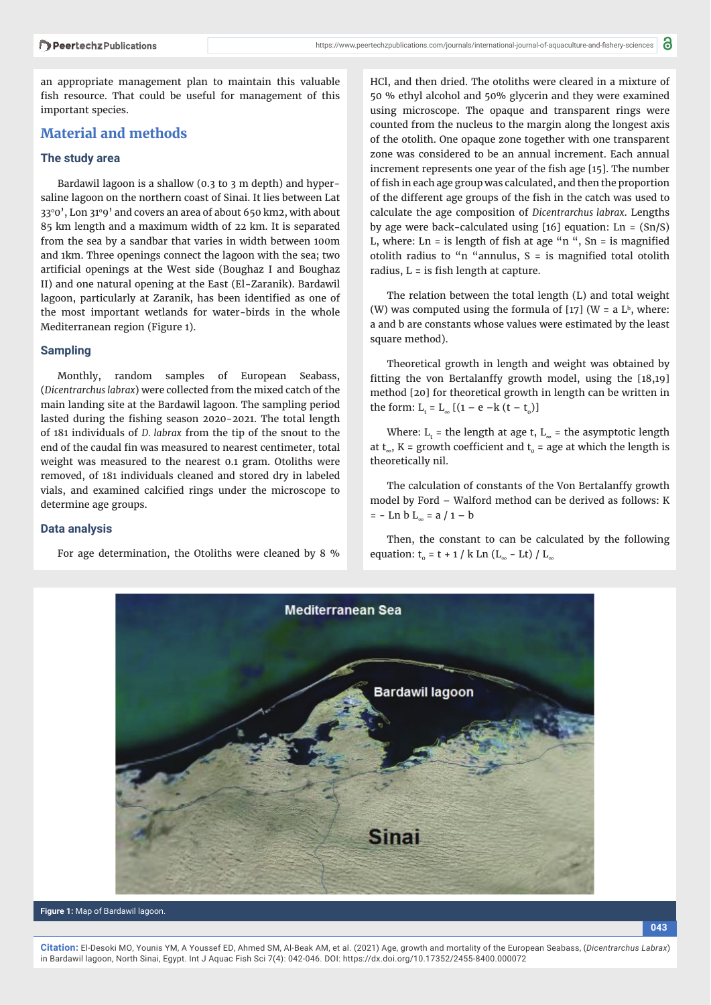an appropriate management plan to maintain this valuable fish resource. That could be useful for management of this important species.

## **Material and methods**

#### **The study area**

Bardawil lagoon is a shallow (0.3 to 3 m depth) and hypersaline lagoon on the northern coast of Sinai. It lies between Lat 33°0', Lon 31°9' and covers an area of about 650 km2, with about 85 km length and a maximum width of 22 km. It is separated from the sea by a sandbar that varies in width between 100m and 1km. Three openings connect the lagoon with the sea; two artificial openings at the West side (Boughaz I and Boughaz II) and one natural opening at the East (El-Zaranik). Bardawil lagoon, particularly at Zaranik, has been identified as one of the most important wetlands for water-birds in the whole Mediterranean region (Figure 1).

#### **Sampling**

Monthly, random samples of European Seabass, (*Dicentrarchus labrax*) were collected from the mixed catch of the main landing site at the Bardawil lagoon. The sampling period lasted during the fishing season 2020-2021. The total length of 181 individuals of *D. labrax* from the tip of the snout to the end of the caudal fin was measured to nearest centimeter, total weight was measured to the nearest 0.1 gram. Otoliths were removed, of 181 individuals cleaned and stored dry in labeled vials, and examined calcified rings under the microscope to determine age groups.

### **Data analysis**

For age determination, the Otoliths were cleaned by 8 %

HCl, and then dried. The otoliths were cleared in a mixture of 50 % ethyl alcohol and 50% glycerin and they were examined using microscope. The opaque and transparent rings were counted from the nucleus to the margin along the longest axis of the otolith. One opaque zone together with one transparent zone was considered to be an annual increment. Each annual increment represents one year of the fish age [15]. The number of fish in each age group was calculated, and then the proportion of the different age groups of the fish in the catch was used to calculate the age composition of *Dicentrarchus labrax*. Lengths by age were back-calculated using [16] equation: Ln = (Sn/S) L, where: Ln = is length of fish at age "n ", Sn = is magnified otolith radius to "n "annulus,  $S =$  is magnified total otolith radius,  $L = i$ s fish length at capture.

The relation between the total length (L) and total weight (W) was computed using the formula of  $[17]$  (W = a L<sup>b</sup>, where: a and b are constants whose values were estimated by the least square method).

Theoretical growth in length and weight was obtained by fitting the von Bertalanffy growth model, using the  $[18,19]$ method [20] for theoretical growth in length can be written in the form:  $L_t = L_{\infty} [(1 - e - k (t - t_0))]$ 

Where:  $L_t$  = the length at age t,  $L_{\infty}$  = the asymptotic length at t<sub>∞</sub>, K = growth coefficient and t<sub>o</sub> = age at which the length is theoretically nil.

The calculation of constants of the Von Bertalanffy growth model by Ford – Walford method can be derived as follows: K  $= -$  Ln b L<sub>∞</sub> = a  $/ 1 - b$ 

Then, the constant to can be calculated by the following equation:  $t_0 = t + 1 / k$  Ln (L<sub>∞</sub> - Lt) / L<sub>∞</sub>



**Figure 1:** Map of Bardawil lagoon.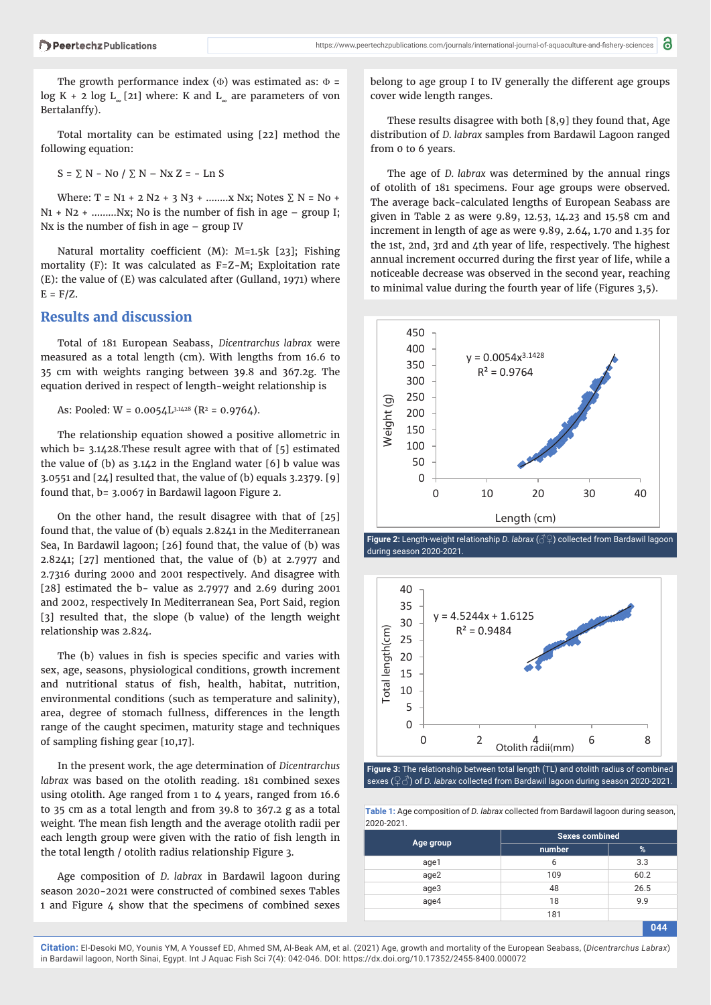The growth performance index ( $\Phi$ ) was estimated as:  $\Phi$  = log K + 2 log  $L_{\infty}$  [21] where: K and  $L_{\infty}$  are parameters of von Bertalanffy).

Total mortality can be estimated using [22] method the following equation:

 $S = \sum N - NO / \sum N - Nx Z = - Ln S$ 

Where: T = N1 + 2 N2 + 3 N3 + ........ X Nx; Notes  $\Sigma$  N = No +  $N1 + N2 + \dots Nx$ ; No is the number of fish in age – group I; Nx is the number of fish in age  $-$  group IV

Natural mortality coefficient (M): M=1.5k [23]; Fishing mortality (F): It was calculated as  $F = Z - M$ ; Exploitation rate (E): the value of (E) was calculated after (Gulland, 1971) where  $E = F/Z$ .

### **Results and discussion**

Total of 181 European Seabass, *Dicentrarchus labrax* were measured as a total length (cm). With lengths from 16.6 to 35 cm with weights ranging between 39.8 and 367.2g. The equation derived in respect of length-weight relationship is

As: Pooled:  $W = 0.0054L^{3.1428}$  (R<sup>2</sup> = 0.9764).

The relationship equation showed a positive allometric in which b= 3.1428.These result agree with that of [5] estimated the value of (b) as 3.142 in the England water [6] b value was 3.0551 and  $[24]$  resulted that, the value of (b) equals 3.2379. [9] found that, b= 3.0067 in Bardawil lagoon Figure 2.

On the other hand, the result disagree with that of [25] found that, the value of (b) equals 2.8241 in the Mediterranean Sea, In Bardawil lagoon; [26] found that, the value of (b) was 2.8241; [27] mentioned that, the value of (b) at 2.7977 and 2.7316 during 2000 and 2001 respectively. And disagree with [28] estimated the b- value as 2.7977 and 2.69 during 2001 and 2002, respectively In Mediterranean Sea, Port Said, region [3] resulted that, the slope (b value) of the length weight relationship was 2.824.

The (b) values in fish is species specific and varies with sex, age, seasons, physiological conditions, growth increment and nutritional status of fish, health, habitat, nutrition, environmental conditions (such as temperature and salinity), area, degree of stomach fullness, differences in the length range of the caught specimen, maturity stage and techniques of sampling fishing gear [10,17].

In the present work, the age determination of *Dicentrarchus labrax* was based on the otolith reading. 181 combined sexes using otolith. Age ranged from 1 to 4 years, ranged from 16.6 to 35 cm as a total length and from 39.8 to 367.2 g as a total weight. The mean fish length and the average otolith radii per each length group were given with the ratio of fish length in the total length / otolith radius relationship Figure 3.

Age composition of *D. labrax* in Bardawil lagoon during season 2020-2021 were constructed of combined sexes Tables 1 and Figure 4 show that the specimens of combined sexes

belong to age group I to IV generally the different age groups cover wide length ranges.

These results disagree with both [8,9] they found that, Age distribution of *D. labrax* samples from Bardawil Lagoon ranged from 0 to 6 years.

The age of *D. labrax* was determined by the annual rings of otolith of 181 specimens. Four age groups were observed. The average back-calculated lengths of European Seabass are given in Table 2 as were 9.89, 12.53, 14.23 and 15.58 cm and increment in length of age as were 9.89, 2.64, 1.70 and 1.35 for the 1st, 2nd, 3rd and 4th year of life, respectively. The highest annual increment occurred during the first year of life, while a noticeable decrease was observed in the second year, reaching to minimal value during the fourth year of life (Figures 3,5).







**Figure 3:** The relationship between total length (TL) and otolith radius of combined sexes (♀ *3*) of *D. labrax* collected from Bardawil lagoon during season 2020-2021.

**Table 1:** Age composition of *D. labrax* collected from Bardawil lagoon during season, 2020-2021.

|           | <b>Sexes combined</b> |                     |  |  |
|-----------|-----------------------|---------------------|--|--|
| Age group | number                | %                   |  |  |
| age1      | 6                     | 3.3                 |  |  |
| age2      | 109                   | 60.2<br>26.5<br>9.9 |  |  |
| age3      | 48                    |                     |  |  |
| age4      | 18                    |                     |  |  |
|           | 181                   |                     |  |  |
|           |                       | 044                 |  |  |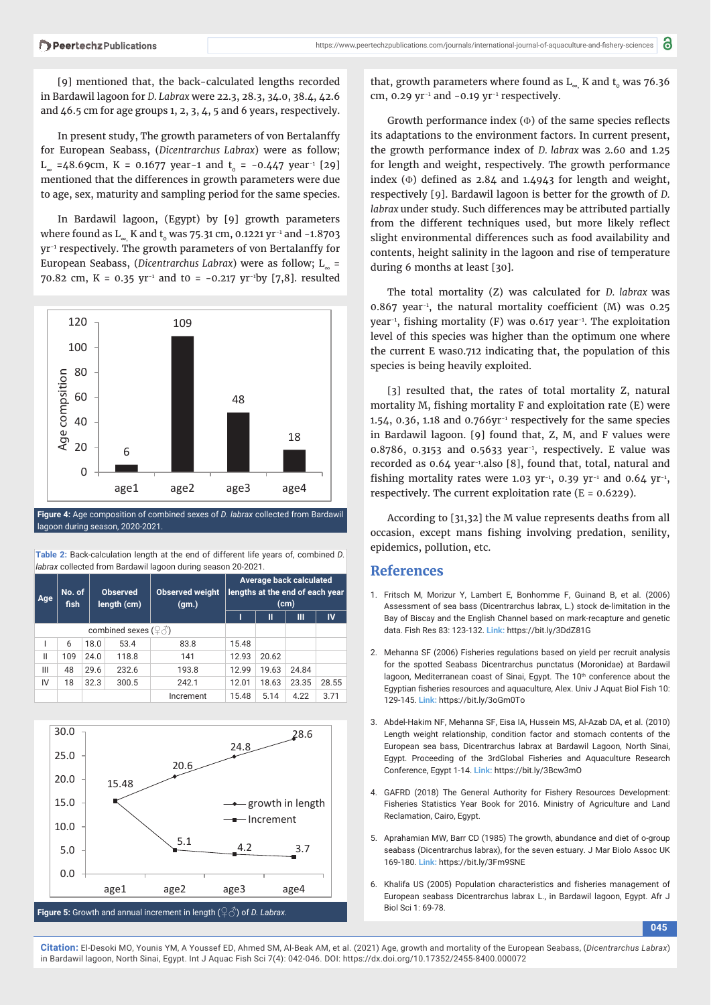[9] mentioned that, the back-calculated lengths recorded in Bardawil lagoon for *D. Labrax* were 22.3, 28.3, 34.0, 38.4, 42.6 and 46.5 cm for age groups 1, 2, 3, 4, 5 and 6 years, respectively.

In present study, The growth parameters of von Bertalanffy for European Seabass, (*Dicentrarchus Labrax*) were as follow; L<sub>∞</sub> =48.69cm, K = 0.1677 year-1 and t<sub>0</sub> = -0.447 year<sup>-1</sup> [29] mentioned that the differences in growth parameters were due to age, sex, maturity and sampling period for the same species.

In Bardawil lagoon, (Egypt) by [9] growth parameters where found as  $\text{L}_{_{\infty}}$  K and t $_{_{0}}$  was 75.31 cm, 0.1221 yr<sup>-1</sup> and -1.8703 yr-1 respectively. The growth parameters of von Bertalanffy for European Seabass, (*Dicentrarchus Labrax*) were as follow; L∞ = 70.82 cm, K = 0.35 yr<sup>-1</sup> and to = -0.217 yr<sup>-1</sup>by [7,8]. resulted



lagoon during season, 2020-2021.

| Average back calculated                                                             |  |  |  |  |  |  |  |  |
|-------------------------------------------------------------------------------------|--|--|--|--|--|--|--|--|
| <i>labrax</i> collected from Bardawil lagoon during season 20-2021.                 |  |  |  |  |  |  |  |  |
| Table 2: Back-calculation length at the end of different life years of, combined D. |  |  |  |  |  |  |  |  |

| Age                                        | No. of<br>fish |      | <b>Observed</b><br>length (cm) | <b>Observed weight</b><br>(gm.) | lengths at the end of each year<br>(cm) |       |       |       |
|--------------------------------------------|----------------|------|--------------------------------|---------------------------------|-----------------------------------------|-------|-------|-------|
|                                            |                |      |                                |                                 |                                         | Ш     | Ш     | IV    |
| combined sexes $(\mathcal{Q} \mathcal{Z})$ |                |      |                                |                                 |                                         |       |       |       |
|                                            | 6              | 18.0 | 53.4                           | 83.8                            | 15.48                                   |       |       |       |
| $\mathsf{II}$                              | 109            | 24.0 | 118.8                          | 141                             | 12.93                                   | 20.62 |       |       |
| Ш                                          | 48             | 29.6 | 232.6                          | 193.8                           | 12.99                                   | 19.63 | 24.84 |       |
| IV                                         | 18             | 32.3 | 300.5                          | 242.1                           | 12.01                                   | 18.63 | 23.35 | 28.55 |
|                                            |                |      |                                | Increment                       | 15.48                                   | 5.14  | 4.22  | 3.71  |



that, growth parameters where found as  $L_{\infty}$ , K and t<sub>o</sub> was 76.36 cm, 0.29 yr<sup>-1</sup> and  $-0.19$  yr<sup>-1</sup> respectively.

Growth performance index  $(\Phi)$  of the same species reflects its adaptations to the environment factors. In current present, the growth performance index of *D. labrax* was 2.60 and 1.25 for length and weight, respectively. The growth performance index  $(\Phi)$  defined as 2.84 and 1.4943 for length and weight, respectively [9]. Bardawil lagoon is better for the growth of *D. labrax* under study. Such differences may be attributed partially from the different techniques used, but more likely reflect slight environmental differences such as food availability and contents, height salinity in the lagoon and rise of temperature during 6 months at least [30].

The total mortality (Z) was calculated for *D. labrax* was 0.867 year<sup>-1</sup>, the natural mortality coefficient (M) was 0.25 year<sup>-1</sup>, fishing mortality (F) was 0.617 year<sup>-1</sup>. The exploitation level of this species was higher than the optimum one where the current E was0.712 indicating that, the population of this species is being heavily exploited.

[3] resulted that, the rates of total mortality Z, natural mortality M, fishing mortality  $F$  and exploitation rate  $(E)$  were 1.54, 0.36, 1.18 and 0.766yr-1 respectively for the same species in Bardawil lagoon. [9] found that, Z, M, and F values were 0.8786, 0.3153 and 0.5633 year<sup>−</sup><sup>1</sup> , respectively. E value was recorded as 0.64 year-1.also [8], found that, total, natural and fishing mortality rates were 1.03 yr<sup>-1</sup>, 0.39 yr<sup>-1</sup> and 0.64 yr<sup>-1</sup>, respectively. The current exploitation rate ( $E = 0.6229$ ).

According to [31,32] the M value represents deaths from all occasion, except mans fishing involving predation, senility, epidemics, pollution, etc.

## **References**

- 1. Fritsch M, Morizur Y, Lambert E, Bonhomme F, Guinand B, et al. (2006) Assessment of sea bass (Dicentrarchus labrax, L.) stock de-limitation in the Bay of Biscay and the English Channel based on mark-recapture and genetic data. Fish Res 83: 123-132. **Link:** https://bit.ly/3DdZ81G
- 2. Mehanna SF (2006) Fisheries regulations based on yield per recruit analysis for the spotted Seabass Dicentrarchus punctatus (Moronidae) at Bardawil lagoon, Mediterranean coast of Sinai, Egypt. The 10<sup>th</sup> conference about the Egyptian fisheries resources and aquaculture, Alex. Univ J Aquat Biol Fish 10: 129-145. **Link:** https://bit.ly/3oGm0To
- 3. Abdel-Hakim NF, Mehanna SF, Eisa IA, Hussein MS, Al-Azab DA, et al. (2010) Length weight relationship, condition factor and stomach contents of the European sea bass, Dicentrarchus labrax at Bardawil Lagoon, North Sinai, Egypt. Proceeding of the 3rdGlobal Fisheries and Aquaculture Research Conference, Egypt 1-14. **Link:** https://bit.ly/3Bcw3mO
- 4. GAFRD (2018) The General Authority for Fishery Resources Development: Fisheries Statistics Year Book for 2016. Ministry of Agriculture and Land Reclamation, Cairo, Egypt.
- 5. Aprahamian MW, Barr CD (1985) The growth, abundance and diet of o-group seabass (Dicentrarchus labrax), for the seven estuary. J Mar Biolo Assoc UK 169-180. **Link:** https://bit.ly/3Fm9SNE
- 6. Khalifa US (2005) Population characteristics and fisheries management of European seabass Dicentrarchus labrax L., in Bardawil lagoon, Egypt. Afr J Biol Sci 1: 69-78.

**045**